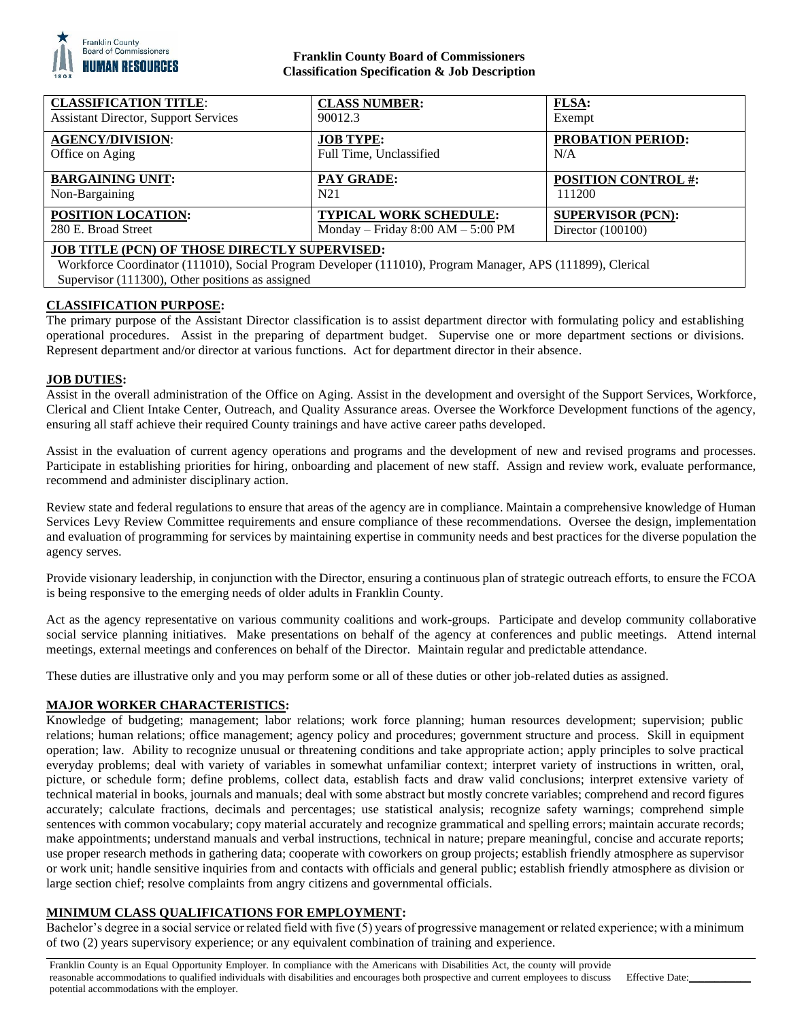

# **Franklin County Board of Commissioners Classification Specification & Job Description**

| <b>CLASSIFICATION TITLE:</b><br><b>Assistant Director, Support Services</b>                                | <b>CLASS NUMBER:</b><br>90012.3       | <b>FLSA:</b><br>Exempt     |
|------------------------------------------------------------------------------------------------------------|---------------------------------------|----------------------------|
|                                                                                                            |                                       |                            |
| <b>AGENCY/DIVISION:</b>                                                                                    | <b>JOB TYPE:</b>                      | <b>PROBATION PERIOD:</b>   |
| Office on Aging                                                                                            | Full Time, Unclassified               | N/A                        |
|                                                                                                            |                                       |                            |
| <b>BARGAINING UNIT:</b>                                                                                    | <b>PAY GRADE:</b>                     | <b>POSITION CONTROL #:</b> |
| Non-Bargaining                                                                                             | N <sub>21</sub>                       | 111200                     |
| POSITION LOCATION:                                                                                         | <b>TYPICAL WORK SCHEDULE:</b>         | <b>SUPERVISOR (PCN):</b>   |
| 280 E. Broad Street                                                                                        | Monday – Friday $8:00$ AM – $5:00$ PM | Director $(100100)$        |
| <b>JOB TITLE (PCN) OF THOSE DIRECTLY SUPERVISED:</b>                                                       |                                       |                            |
| Workforce Coordinator (111010), Social Program Developer (111010), Program Manager, APS (111899), Clerical |                                       |                            |
| Supervisor (111300), Other positions as assigned                                                           |                                       |                            |

# **CLASSIFICATION PURPOSE:**

The primary purpose of the Assistant Director classification is to assist department director with formulating policy and establishing operational procedures. Assist in the preparing of department budget. Supervise one or more department sections or divisions. Represent department and/or director at various functions. Act for department director in their absence.

#### **JOB DUTIES:**

Assist in the overall administration of the Office on Aging. Assist in the development and oversight of the Support Services, Workforce, Clerical and Client Intake Center, Outreach, and Quality Assurance areas. Oversee the Workforce Development functions of the agency, ensuring all staff achieve their required County trainings and have active career paths developed.

Assist in the evaluation of current agency operations and programs and the development of new and revised programs and processes. Participate in establishing priorities for hiring, onboarding and placement of new staff. Assign and review work, evaluate performance, recommend and administer disciplinary action.

Review state and federal regulations to ensure that areas of the agency are in compliance. Maintain a comprehensive knowledge of Human Services Levy Review Committee requirements and ensure compliance of these recommendations. Oversee the design, implementation and evaluation of programming for services by maintaining expertise in community needs and best practices for the diverse population the agency serves.

Provide visionary leadership, in conjunction with the Director, ensuring a continuous plan of strategic outreach efforts, to ensure the FCOA is being responsive to the emerging needs of older adults in Franklin County.

Act as the agency representative on various community coalitions and work-groups. Participate and develop community collaborative social service planning initiatives. Make presentations on behalf of the agency at conferences and public meetings. Attend internal meetings, external meetings and conferences on behalf of the Director. Maintain regular and predictable attendance.

These duties are illustrative only and you may perform some or all of these duties or other job-related duties as assigned.

# **MAJOR WORKER CHARACTERISTICS:**

Knowledge of budgeting; management; labor relations; work force planning; human resources development; supervision; public relations; human relations; office management; agency policy and procedures; government structure and process. Skill in equipment operation; law. Ability to recognize unusual or threatening conditions and take appropriate action; apply principles to solve practical everyday problems; deal with variety of variables in somewhat unfamiliar context; interpret variety of instructions in written, oral, picture, or schedule form; define problems, collect data, establish facts and draw valid conclusions; interpret extensive variety of technical material in books, journals and manuals; deal with some abstract but mostly concrete variables; comprehend and record figures accurately; calculate fractions, decimals and percentages; use statistical analysis; recognize safety warnings; comprehend simple sentences with common vocabulary; copy material accurately and recognize grammatical and spelling errors; maintain accurate records; make appointments; understand manuals and verbal instructions, technical in nature; prepare meaningful, concise and accurate reports; use proper research methods in gathering data; cooperate with coworkers on group projects; establish friendly atmosphere as supervisor or work unit; handle sensitive inquiries from and contacts with officials and general public; establish friendly atmosphere as division or large section chief; resolve complaints from angry citizens and governmental officials.

# **MINIMUM CLASS QUALIFICATIONS FOR EMPLOYMENT:**

Bachelor's degree in a social service or related field with five (5) years of progressive management or related experience; with a minimum of two (2) years supervisory experience; or any equivalent combination of training and experience.

Franklin County is an Equal Opportunity Employer. In compliance with the Americans with Disabilities Act, the county will provide reasonable accommodations to qualified individuals with disabilities and encourages both prospective and current employees to discuss potential accommodations with the employer.